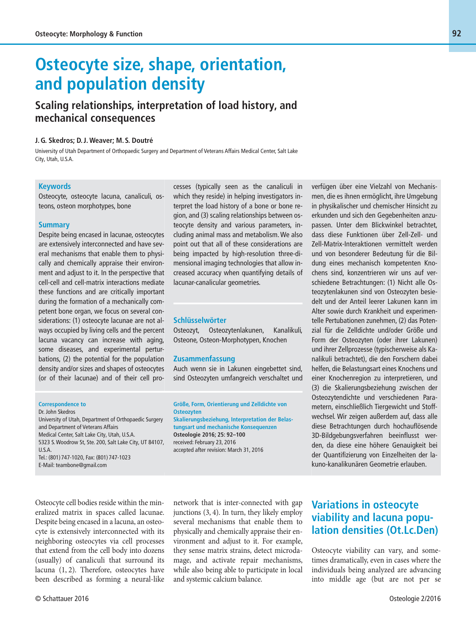# **Osteocyte size, shape, orientation, and population density**

# **Scaling relationships, interpretation of load history, and mechanical consequences**

#### **J. G. Skedros; D. J. Weaver; M. S. Doutré**

University of Utah Department of Orthopaedic Surgery and Department of Veterans Affairs Medical Center, Salt Lake City, Utah, U.S.A.

#### **Keywords**

Osteocyte, osteocyte lacuna, canaliculi, osteons, osteon morphotypes, bone

#### **Summary**

 Despite being encased in lacunae, osteocytes are extensively interconnected and have several mechanisms that enable them to physically and chemically appraise their environment and adjust to it. In the perspective that cell-cell and cell-matrix interactions mediate these functions and are critically important during the formation of a mechanically competent bone organ, we focus on several considerations: (1) osteocyte lacunae are not always occupied by living cells and the percent lacuna vacancy can increase with aging, some diseases, and experimental perturbations, (2) the potential for the population density and/or sizes and shapes of osteocytes (or of their lacunae) and of their cell processes (typically seen as the canaliculi in which they reside) in helping investigators interpret the load history of a bone or bone region, and (3) scaling relationships between osteocyte density and various parameters, including animal mass and metabolism. We also point out that all of these considerations are being impacted by high-resolution three-dimensional imaging technologies that allow increased accuracy when quantifying details of lacunar-canalicular geometries.

#### **Schlüsselwörter**

Osteozyt, Osteozytenlakunen, Kanalikuli, Osteone, Osteon-Morphotypen, Knochen

#### **Zusammenfassung**

 **Osteozyten**

Auch wenn sie in Lakunen eingebettet sind, sind Osteozyten umfangreich verschaltet und

**Größe, Form, Orientierung und Zelldichte von** 

**Skalierungsbeziehung, Interpretation der Belas-**

### **Correspondence to**

Dr. John Skedros University of Utah, Department of Orthopaedic Surgery and Department of Veterans Affairs Medical Center, Salt Lake City, Utah, U.S.A. 5323 S. Woodrow St, Ste. 200, Salt Lake City, UT 84107, U.S.A. Tel.: (801) 747-1020, Fax: (801) 747-1023 E-Mail: teambone@gmail.com

Osteocyte cell bodies reside within the mineralized matrix in spaces called lacunae. Despite being encased in a lacuna, an osteocyte is extensively interconnected with its neighboring osteocytes via cell processes that extend from the cell body into dozens (usually) of canaliculi that surround its lacuna (1, 2). Therefore, osteocytes have been described as forming a neural-like

**tungsart und mechanische Konsequenzen Osteologie 2016; 25: 92–100** received: February 23, 2016 accepted after revision: March 31, 2016 network that is inter-connected with gap

junctions (3, 4). In turn, they likely employ several mechanisms that enable them to physically and chemically appraise their environment and adjust to it. For example, they sense matrix strains, detect microdamage, and activate repair mechanisms, while also being able to participate in local and systemic calcium balance.

# **Variations in osteocyte viability and lacuna population densities (Ot.Lc.Den)**

Osteocyte viability can vary, and sometimes dramatically, even in cases where the individuals being analyzed are advancing into middle age (but are not per se

men, die es ihnen ermöglicht, ihre Umgebung in physikalischer und chemischer Hinsicht zu erkunden und sich den Gegebenheiten anzupassen. Unter dem Blickwinkel betrachtet, dass diese Funktionen über Zell-Zell- und Zell- Matrix-Interaktionen vermittelt werden und von besonderer Bedeutung für die Bildung eines mechanisch kompetenten Knochens sind, konzentrieren wir uns auf verschiedene Betrachtungen: (1) Nicht alle Osteozytenlakunen sind von Osteozyten besiedelt und der Anteil leerer Lakunen kann im Alter sowie durch Krankheit und experimentelle Pertubationen zunehmen, (2) das Potenzial für die Zelldichte und/oder Größe und Form der Osteozyten (oder ihrer Lakunen) und ihrer Zellprozesse (typischerweise als Kanalikuli betrachtet), die den Forschern dabei helfen, die Belastungsart eines Knochens und einer Knochenregion zu interpretieren, und (3) die Skalierungsbeziehung zwischen der Osteozytendichte und verschiedenen Parametern, einschließlich Tiergewicht und Stoffwechsel. Wir zeigen außerdem auf, dass alle diese Betrachtungen durch hochauflösende 3D-Bildgebungsverfahren beeinflusst werden, da diese eine höhere Genauigkeit bei der Quantifizierung von Einzelheiten der lakuno-kanalikunären Geometrie erlauben.

verfügen über eine Vielzahl von Mechanis-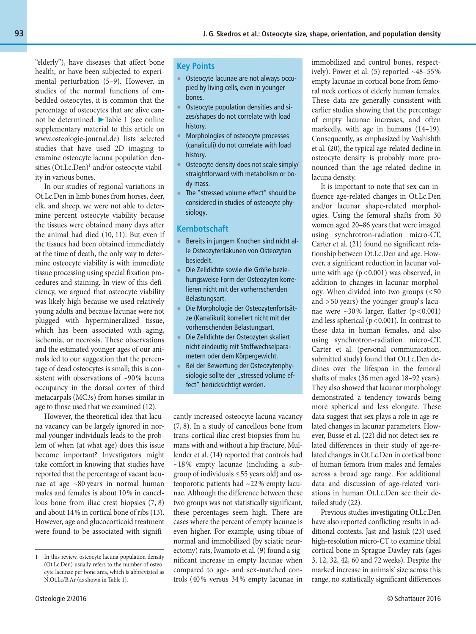"elderly"), have diseases that affect bone health, or have been subjected to experimental perturbation (5–9). However, in studies of the normal functions of embedded osteocytes, it is common that the percentage of osteocytes that are alive cannot be determined. ▶ Table 1 (see online supplementary material to this article on www.osteologie-journal.de) lists selected studies that have used 2D imaging to examine osteocyte lacuna population den-sities (Ot.Lc.Den)<sup>[1](#page-1-0)</sup> and/or osteocyte viability in various bones.

<span id="page-1-1"></span>In our studies of regional variations in Ot.Lc.Den in limb bones from horses, deer, elk, and sheep, we were not able to determine percent osteocyte viability because the tissues were obtained many days after the animal had died (10, 11). But even if the tissues had been obtained immediately at the time of death, the only way to determine osteocyte viability is with immediate tissue processing using special fixation procedures and staining. In view of this deficiency, we argued that osteocyte viability was likely high because we used relatively young adults and because lacunae were not plugged with hypermineralized tissue, which has been associated with aging, ischemia, or necrosis. These observations and the estimated younger ages of our animals led to our suggestion that the percentage of dead osteocytes is small; this is consistent with observations of ~90 % lacuna occupancy in the dorsal cortex of third metacarpals (MC3s) from horses similar in age to those used that we examined (12).

However, the theoretical idea that lacuna vacancy can be largely ignored in normal younger individuals leads to the problem of when (at what age) does this issue become important? Investigators might take comfort in knowing that studies have reported that the percentage of vacant lacunae at age ~80 years in normal human males and females is about 10 % in cancellous bone from iliac crest biopsies (7, 8) and about 14 % in cortical bone of ribs (13). However, age and glucocorticoid treatment were found to be associated with signifi-

#### **Key Points**

- **•** Osteocyte lacunae are not always occupied by living cells, even in younger bones.
- **•** Osteocyte population densities and sizes/shapes do not correlate with load history.
- **•** Morphologies of osteocyte processes (canaliculi) do not correlate with load history.
- **•** Osteocyte density does not scale simply/ straightforward with metabolism or body mass.
- **•** The "stressed volume effect" should be considered in studies of osteocyte physiology.

### **Kernbotschaft**

- **•** Bereits in jungem Knochen sind nicht alle Osteozytenlakunen von Osteozyten besiedelt.
- **•** Die Zelldichte sowie die Größe beziehungsweise Form der Osteozyten korrelieren nicht mit der vorherrschenden Belastungsart.
- **•** Die Morphologie der Osteozytenfortsätze (Kanalikuli) korreliert nicht mit der vorherrschenden Belastungsart.
- **•** Die Zelldichte der Osteozyten skaliert nicht eindeutig mit Stoffwechselparametern oder dem Körpergewicht.
- **•** Bei der Bewertung der Osteozytenphysiologie sollte der "stressed volume effect" berücksichtigt werden.

cantly increased osteocyte lacuna vacancy (7, 8). In a study of cancellous bone from trans-cortical iliac crest biopsies from humans with and without a hip fracture, Mullender et al. (14) reported that controls had  $~18\%$  empty lacunae (including a subgroup of individuals ≤ 55 years old) and osteoporotic patients had ~22 % empty lacunae. Although the difference between these two groups was not statistically significant, these percentages seem high. There are cases where the percent of empty lacunae is even higher. For example, using tibiae of normal and immobilized (by sciatic neurectomy) rats, Iwamoto et al. (9) found a significant increase in empty lacunae when compared to age- and sex-matched controls (40 % versus 34 % empty lacunae in

immobilized and control bones, respectively). Power et al.  $(5)$  reported  $~48-55\%$ empty lacunae in cortical bone from femoral neck cortices of elderly human females. These data are generally consistent with earlier studies showing that the percentage of empty lacunae increases, and often markedly, with age in humans (14–19). Consequently, as emphasized by Vashishth et al. (20), the typical age-related decline in osteocyte density is probably more pronounced than the age-related decline in lacuna density.

It is important to note that sex can influence age-related changes in Ot.Lc.Den and/or lacunar shape-related morphologies. Using the femoral shafts from 30 women aged 20–86 years that were imaged using synchrotron-radiation micro-CT, Carter et al. (21) found no significant relationship between Ot.Lc.Den and age. However, a significant reduction in lacunar volume with age  $(p < 0.001)$  was observed, in addition to changes in lacunar morphology. When divided into two groups (< 50 and  $> 50$  years) the younger group's lacunae were ~30% larger, flatter  $(p < 0.001)$ and less spherical ( $p < 0.001$ ). In contrast to these data in human females, and also using synchrotron-radiation micro-CT, Carter et al. (personal communication, submitted study) found that Ot.Lc.Den declines over the lifespan in the femoral shafts of males (36 men aged 18–92 years). They also showed that lacunar morphology demonstrated a tendency towards being more spherical and less elongate. These data suggest that sex plays a role in age-related changes in lacunar parameters. However, Busse et al. (22) did not detect sex-related differences in their study of age-related changes in Ot.Lc.Den in cortical bone of human femora from males and females across a broad age range. For additional data and discussion of age- related variations in human Ot.Lc.Den see their detailed study (22).

Previous studies investigating Ot.Lc. Den have also reported conflicting results in additional contexts. Jast and Jasiuk (23) used high-resolution micro-CT to examine tibial cortical bone in Sprague-Dawley rats (ages 3, 12, 32, 42, 60 and 72 weeks). Despite the marked increase in animals' size across this range, no statistically significant differences

<span id="page-1-0"></span>[<sup>1</sup>](#page-1-1) In this review, osteocyte lacuna population density (Ot.Lc.Den) usually refers to the number of osteocyte lacunae per bone area, which is abbreviated as N.Ot.Lc/B.Ar (as shown in Table 1).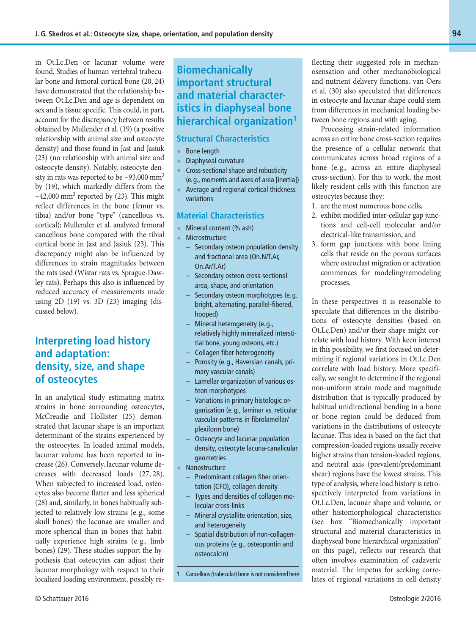in OtLc.Den or lacunar volume were found. Studies of human vertebral trabecular bone and femoral cortical bone (20, 24) have demonstrated that the relationship between Ot.Lc.Den and age is dependent on sex and is tissue specific. This could, in part, account for the discrepancy between results obtained by Mullender et al. (19) (a positive relationship with animal size and osteocyte density) and those found in Jast and Jasiuk (23) (no relationship with animal size and osteocyte density). Notably, osteocyte density in rats was reported to be  $\sim$ 93,000 mm<sup>3</sup> by (19), which markedly differs from the  $\sim$ 42,000 mm<sup>3</sup> reported by (23). This might reflect differences in the bone (femur vs. tibia) and/or bone "type" (cancellous vs. cortical); Mullender et al. analyzed femoral cancellous bone compared with the tibial cortical bone in Jast and Jasiuk (23). This discrepancy might also be influenced by differences in strain magnitudes between the rats used (Wistar rats vs. Sprague-Dawley rats). Perhaps this also is influenced by reduced accuracy of measurements made using 2D (19) vs. 3D (23) imaging (discussed below).

### **Interpreting load history and adaptation: density, size, and shape of osteocytes**

In an analytical study estimating matrix strains in bone surrounding osteocytes, McCreadie and Hollister (25) demonstrated that lacunar shape is an important determinant of the strains experienced by the osteocytes. In loaded animal models, lacunar volume has been reported to increase (26). Conversely, lacunar volume decreases with decreased loads (27, 28). When subjected to increased load, osteocytes also become flatter and less spherical (28) and, similarly, in bones habitually subjected to relatively low strains (e. g., some skull bones) the lacunae are smaller and more spherical than in bones that habitually experience high strains (e. g., limb bones) (29). These studies support the hypothesis that osteocytes can adjust their lacunar morphology with respect to their localized loading environment, possibly re-

# **BiomechanicalIy important structural and material characteristics in diaphyseal bone hierarchical organizatio[n1](#page-2-0)**

### <span id="page-2-1"></span> **Structural Characteristics**

- **•** Bone length
- **•** Diaphyseal curvature
- **•** Cross-sectional shape and robusticity (e. g., moments and axes of area [inertia])
- **•** Average and regional cortical thickness variations

### **Material Characteristics**

- **•** Mineral content (% ash)
- **•** Microstructure
	- Secondary osteon population density and fractional area (On.N/T.Ar, On.Ar/T.Ar)
	- Secondary osteon cross-sectional area, shape, and orientation
	- Secondary osteon morphotypes (e. g. bright, alternating, parallel-fibered, hooped)
	- Mineral heterogeneity (e. g., relatively highly mineralized interstitial bone, young osteons, etc.)
	- Collagen fiber heterogeneity
	- Porosity (e. g., Haversian canals, primary vascular canals)
	- Lamellar organization of various osteon morphotypes
	- Variations in primary histologic organization (e. g., laminar vs. reticular vascular patterns in fibrolamellar/ plexiform bone)
	- Osteocyte and lacunar population density, osteocyte lacuna-canalicular geometries
- **•** Nanostructure
	- Predominant collagen fiber orientation (CFO), collagen density
	- Types and densities of collagen molecular cross-links
	- Mineral crystallite orientation, size, and heterogeneity
	- Spatial distribution of non-collagenous proteins (e. g., osteopontin and osteocalcin)

<span id="page-2-0"></span>Cancellous (trabecular) bone is not considered here

flecting their suggested role in mechanosensation and other mechanobiological and nutrient delivery functions. van Oers et al. (30) also speculated that differences in osteocyte and lacunar shape could stem from differences in mechanical loading between bone regions and with aging.

Processing strain-related information across an entire bone cross-section requires the presence of a cellular network that communicates across broad regions of a bone (e. g., across an entire diaphyseal cross-section). For this to work, the most likely resident cells with this function are osteocytes because they:

- 1. are the most numerous bone cells,
- 2. exhibit modified inter-cellular gap junctions and cell-cell molecular and/or electrical-like transmission, and
- 3. form gap junctions with bone lining cells that reside on the porous surfaces where osteoclast migration or activation commences for modeling/remodeling processes.

In these perspectives it is reasonable to speculate that differences in the distributions of osteocyte densities (based on Ot.Lc.Den) and/or their shape might correlate with load history. With keen interest in this possibility, we first focused on determining if regional variations in Ot.Lc.Den correlate with load history. More specifically, we sought to determine if the regional non-uniform strain mode and magnitude distribution that is typically produced by habitual unidirectional bending in a bone or bone region could be deduced from variations in the distributions of osteocyte lacunae. This idea is based on the fact that compression-loaded regions usually receive higher strains than tension-loaded regions, and neutral axis (prevalent/predominant shear) regions have the lowest strains. This type of analysis, where load history is retrospectively interpreted from variations in Ot.Lc.Den, lacunar shape and volume, or other histomorphological characteristics (see box "BiomechanicalIy important structural and material characteristics in diaphyseal bone hierarchical organization" on this page), reflects our research that often involves examination of cadaveric material. The impetus for seeking correlates of regional variations in cell density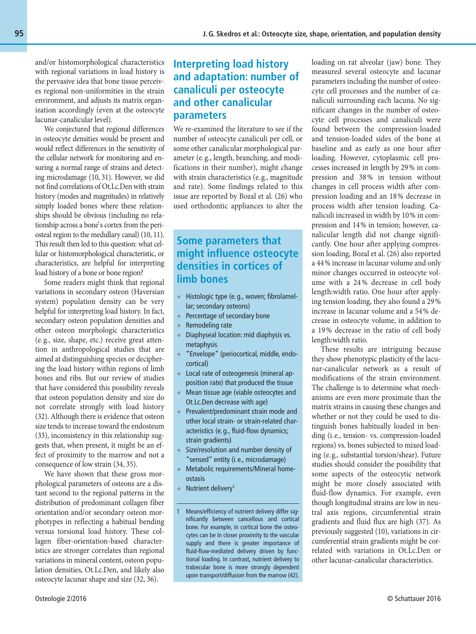and/or histomorphological characteristics with regional variations in load history is the pervasive idea that bone tissue perceives regional non-uniformities in the strain environment, and adjusts its matrix organization accordingly (even at the osteocyte lacunar-canalicular level).

We conjectured that regional differences in osteocyte densities would be present and would reflect differences in the sensitivity of the cellular network for monitoring and ensuring a normal range of strains and detecting microdamage (10, 31). However, we did not find correlations of Ot.Lc.Den with strain history (modes and magnitudes) in relatively simply loaded bones where these relationships should be obvious (including no relationship across a bone' s cortex from the periosteal region to the medullary canal) (10, 11). This result then led to this question: what cellular or histomorphological characteristic, or characteristics, are helpful for interpreting load history of a bone or bone region?

Some readers might think that regional variations in secondary osteon (Haversian system) population density can be very helpful for interpreting load history. In fact, secondary osteon population densities and other osteon morphologic characteristics (e. g., size, shape, etc.) receive great attention in anthropological studies that are aimed at distinguishing species or deciphering the load history within regions of limb bones and ribs. But our review of studies that have considered this possibility reveals that osteon population density and size do not correlate strongly with load history (32). Although there is evidence that osteon size tends to increase toward the endosteum (33), inconsistency in this relationship suggests that, when present, it might be an effect of proximity to the marrow and not a consequence of low strain (34, 35).

We have shown that these gross morphological parameters of osteons are a distant second to the regional patterns in the distribution of predominant collagen fiber orientation and/or secondary osteon morphotypes in reflecting a habitual bending versus torsional load history. These collagen fiber-orientation-based characteristics are stronger correlates than regional variations in mineral content, osteon population densities, Ot.Lc.Den, and likely also osteocyte lacunar shape and size (32, 36).

### **Interpreting load history and adaptation: number of canaliculi per osteocyte and other canalicular parameters**

We re-examined the literature to see if the number of osteocyte canaliculi per cell, or some other canalicular morphological parameter (e. g., length, branching, and modifications in their number), might change with strain characteristics (e. g., magnitude and rate). Some findings related to this issue are reported by Bozal et al. (26) who used orthodontic appliances to alter the

# **Some parameters that might influence osteocyte densities in cortices of limb bones**

- **•** Histologic type (e. g., woven; fibrolamellar; secondary osteons)
- **•** Percentage of secondary bone
- **•** Remodeling rate
- **•** Diaphyseal location: mid diaphysis vs. metaphysis
- **•** "Envelope" (periocortical, middle, endocortical)
- **•** Local rate of osteogenesis (mineral apposition rate) that produced the tissue
- **•** Mean tissue age (viable osteocytes and Ot.Lc.Den decrease with age)
- **•** Prevalent/predominant strain mode and other local strain- or strain-related characteristics (e. g., fluid-flow dynamics; strain gradients)
- **•** Size/resolution and number density of "sensed" entity (i. e., microdamage)
- **•** Metabolic requirements/Mineral homeostasis
- <span id="page-3-1"></span>**•** Nutrient delivery[1](#page-3-0)

loading on rat alveolar (jaw) bone. They measured several osteocyte and lacunar parameters including the number of osteocyte cell processes and the number of canaliculi surrounding each lacuna. No significant changes in the number of osteocyte cell processes and canaliculi were found between the compression-loaded and tension-loaded sides of the bone at baseline and as early as one hour after loading. However, cytoplasmic cell processes increased in length by 29 % in compression and 38 % in tension without changes in cell process width after compression loading and an 18 % decrease in process width after tension loading. Canaliculi increased in width by 10 % in compression and 14 % in tension; however, canalicular length did not change significantly. One hour after applying compression loading, Bozal et al. (26) also reported a 44 % increase in lacunar volume and only minor changes occurred in osteocyte volume with a 24 % decrease in cell body length:width ratio. One hour after applying tension loading, they also found a 29 % increase in lacunar volume and a 54 % decrease in osteocyte volume, in addition to a 19 % decrease in the ratio of cell body length:width ratio.

These results are intriguing because they show phenotypic plasticity of the lacunar-canalicular network as a result of modifications of the strain environment. The challenge is to determine what mechanisms are even more proximate than the matrix strains in causing these changes and whether or not they could be used to distinguish bones habitually loaded in bending (i. e., tension- vs. compression-loaded regions) vs. bones subjected to mixed loading (e. g., substantial torsion/shear). Future studies should consider the possibility that some aspects of the osteocytic network might be more closely associated with fluid-flow dynamics. For example, even though longitudinal strains are low in neutral axis regions, circumferential strain gradients and fluid flux are high (37). As previously suggested (10), variations in circumferential strain gradients might be correlated with variations in Ot.Lc.Den or other lacunar-canalicular characteristics.

<span id="page-3-0"></span>[<sup>1</sup>](#page-3-1) Means/efficiency of nutrient delivery differ significantly between cancellous and cortical bone. For example, in cortical bone the osteocytes can be in closer proximity to the vascular supply and there is greater importance of fluid-flow-mediated delivery driven by functional loading. In contrast, nutrient delivery to trabecular bone is more strongly dependent upon transport/diffusion from the marrow (42).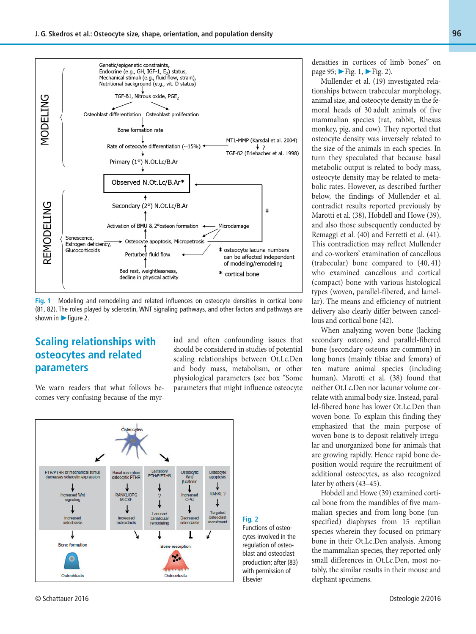

<span id="page-4-0"></span>**Fig. 1** Modeling and remodeling and related influences on osteocyte densities in cortical bone (81, 82). The roles played by sclerostin, WNT signaling pathways, and other factors and pathways are shown in **I** figure 2.

# **Scaling relationships with osteocytes and related parameters**

We warn readers that what follows becomes very confusing because of the myr-

iad and often confounding issues that should be considered in studies of potential scaling relationships between Ot.Lc.Den and body mass, metabolism, or other physiological parameters (see box "Some parameters that might influence osteocyte



<span id="page-4-1"></span>**Fig. 2**  Functions of osteocytes involved in the regulation of osteoblast and osteoclast production; after (83) with permission of Elsevier

 densities in cortices of limb bones" on page 95;  $\blacktriangleright$  [Fig. 1,](#page-4-0)  $\blacktriangleright$  [Fig. 2\)](#page-4-1).

Mullender et al. (19) investigated relationships between trabecular morphology, animal size, and osteocyte density in the femoral heads of 30 adult animals of five mammalian species (rat, rabbit, Rhesus monkey, pig, and cow). They reported that osteocyte density was inversely related to the size of the animals in each species. In turn they speculated that because basal metabolic output is related to body mass, osteocyte density may be related to metabolic rates. However, as described further below, the findings of Mullender et al. contradict results reported previously by Marotti et al. (38), Hobdell and Howe (39), and also those subsequently conducted by Remaggi et al. (40) and Ferretti et al. (41). This contradiction may reflect Mullender and co-workers' examination of cancellous (trabecular) bone compared to (40, 41) who examined cancellous and cortical (compact) bone with various histological types (woven, parallel-fibered, and lamellar). The means and efficiency of nutrient delivery also clearly differ between cancellous and cortical bone (42).

When analyzing woven bone (lacking secondary osteons) and parallel-fibered bone (secondary osteons are common) in long bones (mainly tibiae and femora) of ten mature animal species (including human), Marotti et al. (38) found that neither Ot.Lc.Den nor lacunar volume correlate with animal body size. Instead, parallel-fibered bone has lower Ot.Lc.Den than woven bone. To explain this finding they emphasized that the main purpose of woven bone is to deposit relatively irregular and unorganized bone for animals that are growing rapidly. Hence rapid bone deposition would require the recruitment of additional osteocytes, as also recognized later by others (43–45).

Hobdell and Howe (39) examined cortical bone from the mandibles of five mammalian species and from long bone (unspecified) diaphyses from 15 reptilian species wherein they focused on primary bone in their Ot.Lc.Den analysis. Among the mammalian species, they reported only small differences in Ot.Lc.Den, most notably, the similar results in their mouse and elephant specimens.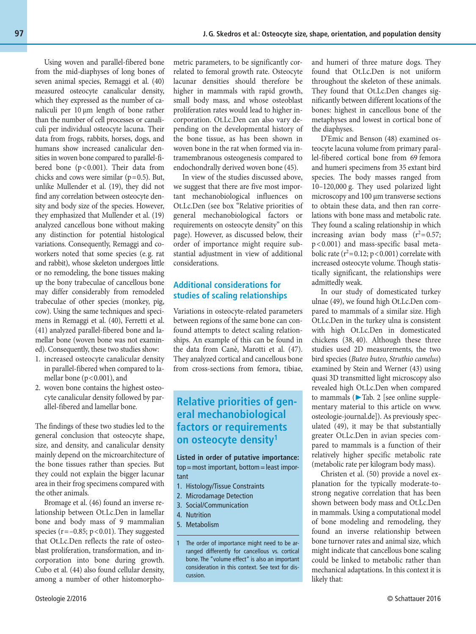Using woven and parallel-fibered bone from the mid-diaphyses of long bones of seven animal species, Remaggi et al. (40) measured osteocyte canalicular density, which they expressed as the number of canaliculi per 10 μm length of bone rather than the number of cell processes or canaliculi per individual osteocyte lacuna. Their data from frogs, rabbits, horses, dogs, and humans show increased canalicular densities in woven bone compared to parallel-fibered bone (p < 0.001). Their data from chicks and cows were similar  $(p=0.5)$ . But, unlike Mullender et al. (19), they did not find any correlation between osteocyte density and body size of the species. However, they emphasized that Mullender et al. (19) analyzed cancellous bone without making any distinction for potential histological variations. Consequently, Remaggi and coworkers noted that some species (e. g. rat and rabbit), whose skeleton undergoes little or no remodeling, the bone tissues making up the bony trabeculae of cancellous bone may differ considerably from remodeled trabeculae of other species (monkey, pig, cow). Using the same techniques and specimens in Remaggi et al. (40), Ferretti et al. (41) analyzed parallel- fibered bone and lamellar bone (woven bone was not examined). Consequently, these two studies show:

- 1. increased osteocyte canalicular density
- in parallel-fibered when compared to lamellar bone (p < 0.001), and
- 2. woven bone contains the highest osteocyte canalicular density followed by parallel-fibered and lamellar bone.

The findings of these two studies led to the general conclusion that osteocyte shape, size, and density, and canalicular density mainly depend on the microarchitecture of the bone tissues rather than species. But they could not explain the bigger lacunar area in their frog specimens compared with the other animals.

Bromage et al. (46) found an inverse relationship between Ot.Lc.Den in lamellar bone and body mass of 9 mammalian species ( $r = -0.85$ ;  $p < 0.01$ ). They suggested that Ot.Lc.Den reflects the rate of osteoblast proliferation, transformation, and incorporation into bone during growth. Cubo et al. (44) also found cellular density, among a number of other histomorphometric parameters, to be significantly correlated to femoral growth rate. Osteocyte lacunar densities should therefore be higher in mammals with rapid growth, small body mass, and whose osteoblast proliferation rates would lead to higher incorporation. Ot.Lc.Den can also vary depending on the developmental history of the bone tissue, as has been shown in woven bone in the rat when formed via intramembranous osteogenesis compared to endochondrally derived woven bone (45).

In view of the studies discussed above, we suggest that there are five most important mechanobiological influences on Ot.Lc.Den (see box "Relative priorities of general mechanobiological factors or requirements on osteocyte density" on this page). However, as discussed below, their order of importance might require substantial adjustment in view of additional considerations.

### **Additional considerations for studies of scaling relationships**

Variations in osteocyte-related parameters between regions of the same bone can confound attempts to detect scaling relationships. An example of this can be found in the data from Canè, Marotti et al. (47). They analyzed cortical and cancellous bone from cross-sections from femora, tibiae,

### <span id="page-5-1"></span>**Relative priorities of general mechanobiological factors or requirements on osteocyte density[1](#page-5-0)**

**Listed in order of putative importance:**  top = most important, bottom = least important

- 1. Histology/Tissue Constraints
- 2. Microdamage Detection
- 3. Social/Communication
- 4. Nutrition
- <span id="page-5-0"></span>5. Metabolism
- [1](#page-5-1) The order of importance might need to be arranged differently for cancellous vs. cortical bone. The "volume effect" is also an important consideration in this context. See text for discussion.

and humeri of three mature dogs. They found that Ot.Lc.Den is not uniform throughout the skeleton of these animals. They found that Ot.Lc.Den changes significantly between different locations of the bones: highest in cancellous bone of the metaphyses and lowest in cortical bone of the diaphyses.

D'Emic and Benson (48) examined osteocyte lacuna volume from primary parallel-fibered cortical bone from 69 femora and humeri specimens from 35 extant bird species. The body masses ranged from 10–120,000 g. They used polarized light microscopy and 100 μm transverse sections to obtain these data, and then ran correlations with bone mass and metabolic rate. They found a scaling relationship in which increasing avian body mass  $(r^2=0.57;$ p < 0.001) and mass-specific basal metabolic rate ( $r^2$ =0.12; p < 0.001) correlate with increased osteocyte volume. Though statistically significant, the relationships were admittedly weak.

In our study of domesticated turkey ulnae (49), we found high Ot.Lc.Den compared to mammals of a similar size. High Ot.Lc.Den in the turkey ulna is consistent with high Ot.Lc.Den in domesticated chickens (38, 40). Although these three studies used 2D measurements, the two bird species (*Buteo buteo*, *Struthio camelus*) examined by Stein and Werner (43) using quasi 3D transmitted light microscopy also revealed high Ot.Lc.Den when compared to mammals ( $\blacktriangleright$  Tab. 2 [see online supplementary material to this article on www. osteologie-journal.de]). As previously spec ulated (49), it may be that substantially greater Ot.Lc.Den in avian species compared to mammals is a function of their relatively higher specific metabolic rate (metabolic rate per kilogram body mass).

Christen et al. (50) provide a novel explanation for the typically moderate-tostrong negative correlation that has been shown between body mass and Ot.Lc.Den in mammals. Using a computational model of bone modeling and remodeling, they found an inverse relationship between bone turnover rates and animal size, which might indicate that cancellous bone scaling could be linked to metabolic rather than mechanical adaptations. In this context it is likely that: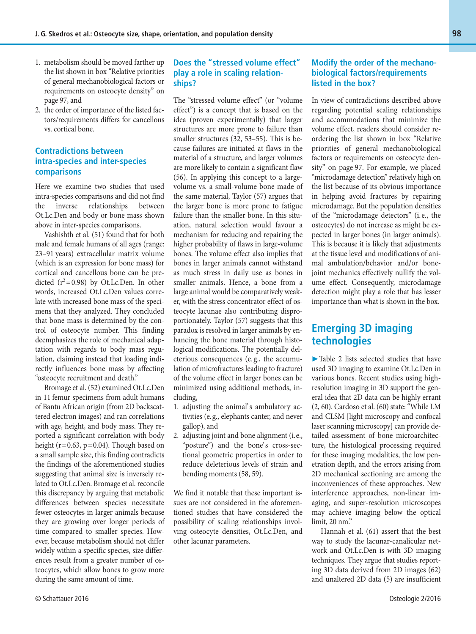- 1. metabolism should be moved farther up the list shown in box "Relative priorities of general mechanobiological factors or requirements on osteocyte density" on page 97, and
- 2. the order of importance of the listed factors/requirements differs for cancellous vs. cortical bone.

### **Contradictions between intra-species and inter-species comparisons**

Here we examine two studies that used intra-species comparisons and did not find the inverse relationships between Ot.Lc.Den and body or bone mass shown above in inter-species comparisons.

Vashishth et al. (51) found that for both male and female humans of all ages (range: 23–91 years) extracellular matrix volume (which is an expression for bone mass) for cortical and cancellous bone can be predicted  $(r^2=0.98)$  by Ot.Lc.Den. In other words, increased Ot.Lc.Den values correlate with increased bone mass of the specimens that they analyzed. They concluded that bone mass is determined by the control of osteocyte number. This finding deemphasizes the role of mechanical adaptation with regards to body mass regulation, claiming instead that loading indirectly influences bone mass by affecting "osteocyte recruitment and death."

 Bromage et al. (52) examined Ot.Lc.Den in 11 femur specimens from adult humans of Bantu African origin (from 2D backscattered electron images) and ran correlations with age, height, and body mass. They reported a significant correlation with body height ( $r = 0.63$ ,  $p = 0.04$ ). Though based on a small sample size, this finding contradicts the findings of the aforementioned studies suggesting that animal size is inversely related to Ot.Lc.Den. Bromage et al. reconcile this discrepancy by arguing that metabolic differences between species necessitate fewer osteocytes in larger animals because they are growing over longer periods of time compared to smaller species. However, because metabolism should not differ widely within a specific species, size differences result from a greater number of osteocytes, which allow bones to grow more during the same amount of time.

### **Does the "stressed volume effect" play a role in scaling relationships?**

The "stressed volume effect" (or "volume effect") is a concept that is based on the idea (proven experimentally) that larger structures are more prone to failure than smaller structures (32, 53–55). This is because failures are initiated at flaws in the material of a structure, and larger volumes are more likely to contain a significant flaw (56). In applying this concept to a largevolume vs. a small-volume bone made of the same material, Taylor (57) argues that the larger bone is more prone to fatigue failure than the smaller bone. In this situation, natural selection would favour a mechanism for reducing and repairing the higher probability of flaws in large-volume bones. The volume effect also implies that bones in larger animals cannot withstand as much stress in daily use as bones in smaller animals. Hence, a bone from a large animal would be comparatively weaker, with the stress concentrator effect of osteocyte lacunae also contributing disproportionately. Taylor (57) suggests that this paradox is resolved in larger animals by enhancing the bone material through histological modifications. The potentially deleterious consequences (e. g., the accumulation of microfractures leading to fracture) of the volume effect in larger bones can be minimized using additional methods, including,

- 1. adjusting the animal's ambulatory activities (e. g., elephants canter, and never gallop), and
- 2. adjusting joint and bone alignment (i. e., "posture") and the bone's cross-sectional geometric properties in order to reduce deleterious levels of strain and bending moments (58, 59).

We find it notable that these important issues are not considered in the aforementioned studies that have considered the possibility of scaling relationships involving osteocyte densities, Ot.Lc.Den, and other lacunar parameters.

### **Modify the order of the mechano biological factors/requirements listed in the box?**

In view of contradictions described above regarding potential scaling relationships and accommodations that minimize the volume effect, readers should consider reordering the list shown in box "Relative priorities of general mechanobiological factors or requirements on osteocyte density" on page 97. For example, we placed "microdamage detection" relatively high on the list because of its obvious importance in helping avoid fractures by repairing microdamage. But the population densities of the "microdamage detectors" (i. e., the osteocytes) do not increase as might be expected in larger bones (in larger animals). This is because it is likely that adjustments at the tissue level and modifications of animal ambulation/behavior and/or bonejoint mechanics effectively nullify the volume effect. Consequently, microdamage detection might play a role that has lesser importance than what is shown in the box.

### **Emerging 3D imaging technologies**

▶ Table 2 lists selected studies that have used 3D imaging to examine Ot.Lc.Den in various bones. Recent studies using highresolution imaging in 3D support the general idea that 2D data can be highly errant (2, 60). Cardoso et al. (60) state: "While LM and CLSM [light microscopy and confocal laser scanning microscopy] can provide detailed assessment of bone microarchitecture, the histological processing required for these imaging modalities, the low penetration depth, and the errors arising from 2D mechanical sectioning are among the inconveniences of these approaches. New interference approaches, non-linear imaging, and super-resolution microscopes may achieve imaging below the optical limit, 20 nm."

Hannah et al. (61) assert that the best way to study the lacunar-canalicular network and Ot.Lc.Den is with 3D imaging techniques. They argue that studies reporting 3D data derived from 2D images (62) and unaltered 2D data (5) are insufficient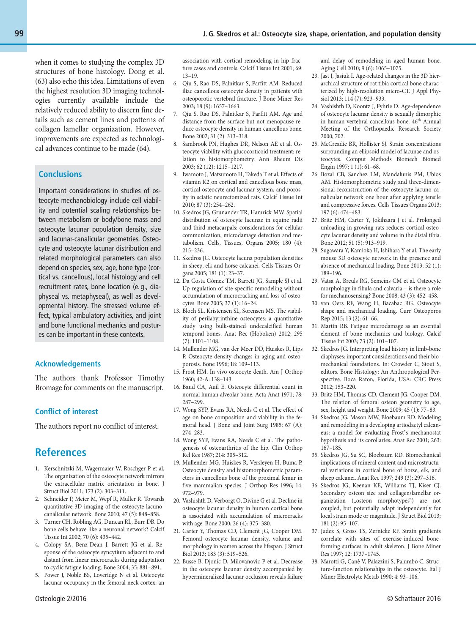when it comes to studying the complex 3D structures of bone histology. Dong et al. (63) also echo this idea. Limitations of even the highest resolution 3D imaging technologies currently available include the relatively reduced ability to discern fine details such as cement lines and patterns of collagen lamellar organization. However, improvements are expected as technological advances continue to be made (64).

#### **Conclusions**

Important considerations in studies of osteocyte mechanobiology include cell viability and potential scaling relationships between metabolism or body/bone mass and osteocyte lacunar population density, size and lacunar-canalicular geometries. Osteocyte and osteocyte lacunar distribution and related morphological parameters can also depend on species, sex, age, bone type (cortical vs. cancellous), local histology and cell recruitment rates, bone location (e. g., diaphyseal vs. metaphyseal), as well as developmental history. The stressed volume effect, typical ambulatory activities, and joint and bone functional mechanics and postures can be important in these contexts.

#### **Acknowledgements**

The authors thank Professor Timothy Bromage for comments on the manuscript.

#### **Conflict of interest**

The authors report no conflict of interest.

### **References**

- 1. Kerschnitzki M, Wagermaier W, Roschger P et al. The organization of the osteocyte network mirrors the extracellular matrix orientation in bone. J Struct Biol 2011; 173 (2): 303–311.
- 2. Schneider P, Meier M, Wepf R, Muller R. Towards quantitative 3D imaging of the osteocyte lacunocanalicular network. Bone 2010; 47 (5): 848–858.
- 3. Turner CH, Robling AG, Duncan RL, Burr DB. Do bone cells behave like a neuronal network? Calcif Tissue Int 2002; 70 (6): 435–442.
- 4. Colopy SA, Benz-Dean J, Barrett JG et al. Response of the osteocyte syncytium adjacent to and distant from linear microcracks during adaptation to cyclic fatigue loading. Bone 2004; 35: 881–891.
- 5. Power J, Noble BS, Loveridge N et al. Osteocyte lacunar occupancy in the femoral neck cortex: an

association with cortical remodeling in hip fracture cases and controls. Calcif Tissue Int 2001; 69: 13–19.

- 6. Qiu S, Rao DS, Palnitkar S, Parfitt AM. Reduced iliac cancellous osteocyte density in patients with osteoporotic vertebral fracture. J Bone Miner Res 2003; 18 (9): 1657–1663.
- 7. Qiu S, Rao DS, Palnitkar S, Parfitt AM. Age and distance from the surface but not menopause reduce osteocyte density in human cancellous bone. Bone 2002; 31 (2): 313–318.
- Sambrook PN, Hughes DR, Nelson AE et al. Osteocyte viability with glucocorticoid treatment: relation to histomorphometry. Ann Rheum Dis 2003; 62 (12): 1215–1217.
- 9. Iwamoto J, Matsumoto H, Takeda T et al. Effects of vitamin K2 on cortical and cancellous bone mass, cortical osteocyte and lacunar system, and porosity in sciatic neurectomized rats. Calcif Tissue Int 2010; 87 (3): 254–262.
- 10. Skedros JG, Grunander TR, Hamrick MW. Spatial distribution of osteocyte lacunae in equine radii and third metacarpals: considerations for cellular communication, microdamage detection and metabolism. Cells, Tissues, Organs 2005; 180 (4): 215–236.
- 11. Skedros JG. Osteocyte lacuna population densities in sheep, elk and horse calcanei. Cells Tissues Organs 2005; 181 (1): 23–37.
- 12. Da Costa Gómez TM, Barrett JG, Sample SJ et al. Up-regulation of site-specific remodeling without accumulation of microcracking and loss of osteocytes. Bone 2005; 37 (1): 16–24.
- 13. Bloch SL, Kristensen SL, Sorensen MS. The viability of perilabyrinthine osteocytes: a quantitative study using bulk-stained undecalcified human temporal bones. Anat Rec (Hoboken) 2012; 295 (7): 1101–1108.
- 14. Mullender MG, van der Meer DD, Huiskes R, Lips P. Osteocyte density changes in aging and osteoporosis. Bone 1996; 18: 109–113.
- 15. Frost HM. In vivo osteocyte death. Am J Orthop 1960; 42-A: 138–143.
- 16. Baud CA, Auil E. Osteocyte differential count in normal human alveolar bone. Acta Anat 1971; 78: 287–299.
- 17. Wong SYP, Evans RA, Needs C et al. The effect of age on bone composition and viability in the femoral head. J Bone and Joint Surg 1985; 67 (A): 274–283.
- 18. Wong SYP, Evans RA, Needs C et al. The pathogenesis of osteoarthritis of the hip. Clin Orthop Rel Res 1987; 214: 305–312.
- 19. Mullender MG, Huiskes R, Versleyen H, Buma P. Osteocyte density and histomorphometric parameters in cancellous bone of the proximal femur in five mammalian species. J Orthop Res 1996; 14: 972–979.
- 20. Vashishth D, Verborgt O, Divine G et al. Decline in osteocyte lacunar density in human cortical bone is associated with accumulation of microcracks with age. Bone 2000; 26 (4): 375–380.
- 21. Carter Y, Thomas CD, Clement JG, Cooper DM. Femoral osteocyte lacunar density, volume and morphology in women across the lifespan. J Struct Biol 2013; 183 (3): 519–526.
- 22. Busse B, Djonic D, Milovanovic P et al. Decrease in the osteocyte lacunar density accompanied by hypermineralized lacunar occlusion reveals failure

and delay of remodeling in aged human bone. Aging Cell 2010; 9 (6): 1065–1075.

- 23. Jast J, Jasiuk I. Age-related changes in the 3D hierarchical structure of rat tibia cortical bone characterized by high-resolution micro-CT. J Appl Physiol 2013; 114 (7): 923–933.
- 24. Vashishth D, Koontz J, Fyhrie D. Age-dependence of osteocyte lacunar density is sexually dimorphic in human vertebral cancellous bone.  $46^{\text{th}}$  Annual Meeting of the Orthopaedic Research Society 2000; 702.
- 25. McCreadie BR, Hollister SJ. Strain concentrations surrounding an ellipsoid model of lacunae and osteocytes. Comput Methods Biomech Biomed Engin 1997; 1 (1): 61–68.
- 26. Bozal CB, Sanchez LM, Mandalunis PM, Ubios AM. Histomorphometric study and three-dimensional reconstruction of the osteocyte lacuno-canalicular network one hour after applying tensile and compressive forces. Cells Tissues Organs 2013; 197 (6): 474–483.
- 27. Britz HM, Carter Y, Jokihaara J et al. Prolonged unloading in growing rats reduces cortical osteocyte lacunar density and volume in the distal tibia. Bone 2012; 51 (5): 913–919.
- 28. Sugawara Y, Kamioka H, Ishihara Y et al. The early mouse 3D osteocyte network in the presence and absence of mechanical loading. Bone 2013; 52 (1): 189–196.
- 29. Vatsa A, Breuls RG, Semeins CM et al. Osteocyte morphology in fibula and calvaria – is there a role for mechanosensing? Bone 2008; 43 (3): 452–458.
- 30. van Oers RF, Wang H, Bacabac RG. Osteocyte shape and mechanical loading. Curr Osteoporos Rep 2015; 13 (2): 61–66.
- 31. Martin RB. Fatigue microdamage as an essential element of bone mechanics and biology. Calcif Tissue Int 2003; 73 (2): 101–107.
- 32. Skedros JG. Interpreting load history in limb-bone diaphyses: important considerations and their biomechanical foundations. In: Crowder C, Stout S, editors. Bone Histology: An Anthropological Perspective. Boca Raton, Florida, USA: CRC Press 2012; 153–220.
- 33. Britz HM, Thomas CD, Clement JG, Cooper DM. The relation of femoral osteon geometry to age, sex, height and weight. Bone 2009; 45 (1): 77–83.
- 34. Skedros JG, Mason MW, Bloebaum RD. Modeling and remodeling in a developing artiodactyl calcaneus: a model for evaluating Frost's mechanostat hypothesis and its corollaries. Anat Rec 2001; 263: 167–185.
- 35. Skedros JG, Su SC, Bloebaum RD. Biomechanical implications of mineral content and microstructural variations in cortical bone of horse, elk, and sheep calcanei. Anat Rec 1997; 249 (3): 297–316.
- 36. Skedros JG, Keenan KE, Williams TJ, Kiser CJ. Secondary osteon size and collagen/lamellar organization ("osteon morphotypes") are not coupled, but potentially adapt independently for local strain mode or magnitude. J Struct Biol 2013; 181 (2): 95–107.
- 37. Judex S, Gross TS, Zernicke RF. Strain gradients correlate with sites of exercise-induced boneforming surfaces in adult skeleton. J Bone Miner Res 1997; 12: 1737–1745.
- 38. Marotti G, Canè V, Palazzini S, Palumbo C. Structure-function relationships in the osteocyte. Ital J Miner Electrolyte Metab 1990; 4: 93–106.